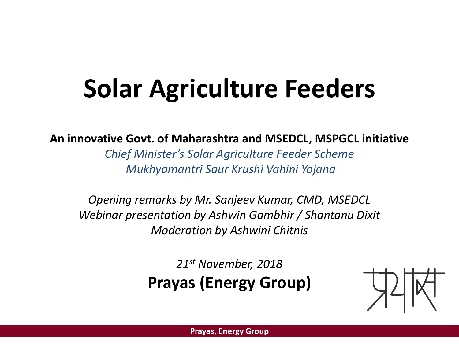# **Solar Agriculture Feeders**

#### **An innovative Govt. of Maharashtra and MSEDCL, MSPGCL initiative**

*Chief Minister's Solar Agriculture Feeder Scheme Mukhyamantri Saur Krushi Vahini Yojana*

*Opening remarks by Mr. Sanjeev Kumar, CMD, MSEDCL Webinar presentation by Ashwin Gambhir / Shantanu Dixit Moderation by Ashwini Chitnis*

> *21st November, 2018* **Prayas (Energy Group)**

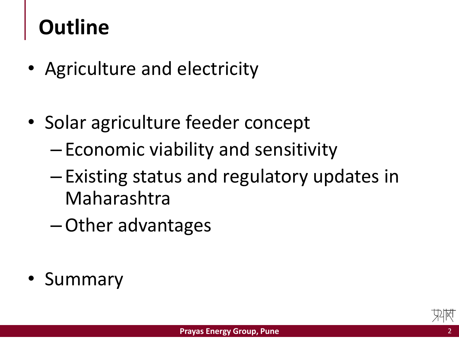### **Outline**

- Agriculture and electricity
- Solar agriculture feeder concept
	- Economic viability and sensitivity
	- Existing status and regulatory updates in Maharashtra
	- –Other advantages
- **Summary**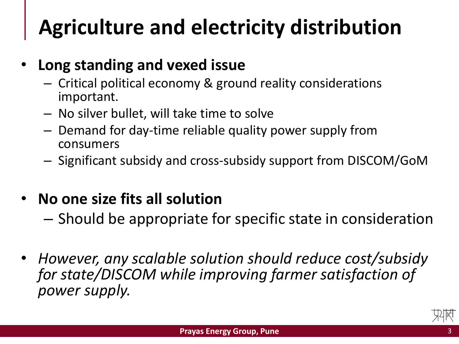## **Agriculture and electricity distribution**

### • **Long standing and vexed issue**

- Critical political economy & ground reality considerations important.
- No silver bullet, will take time to solve
- Demand for day-time reliable quality power supply from consumers
- Significant subsidy and cross-subsidy support from DISCOM/GoM

### • **No one size fits all solution**

- Should be appropriate for specific state in consideration
- *However, any scalable solution should reduce cost/subsidy for state/DISCOM while improving farmer satisfaction of power supply.*

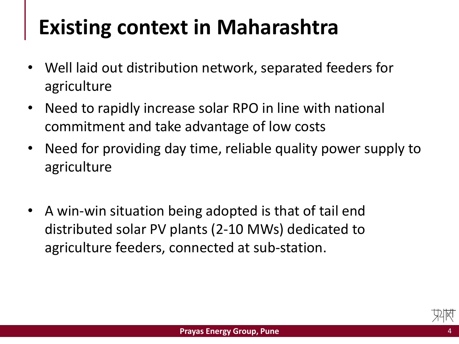## **Existing context in Maharashtra**

- Well laid out distribution network, separated feeders for agriculture
- Need to rapidly increase solar RPO in line with national commitment and take advantage of low costs
- Need for providing day time, reliable quality power supply to agriculture
- A win-win situation being adopted is that of tail end distributed solar PV plants (2-10 MWs) dedicated to agriculture feeders, connected at sub-station.

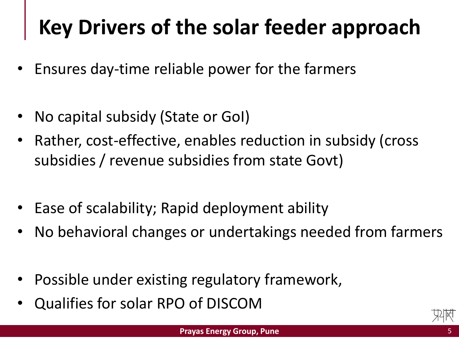# **Key Drivers of the solar feeder approach**

- Ensures day-time reliable power for the farmers
- No capital subsidy (State or GoI)
- Rather, cost-effective, enables reduction in subsidy (cross subsidies / revenue subsidies from state Govt)
- Ease of scalability; Rapid deployment ability
- No behavioral changes or undertakings needed from farmers
- Possible under existing regulatory framework,
- Qualifies for solar RPO of DISCOM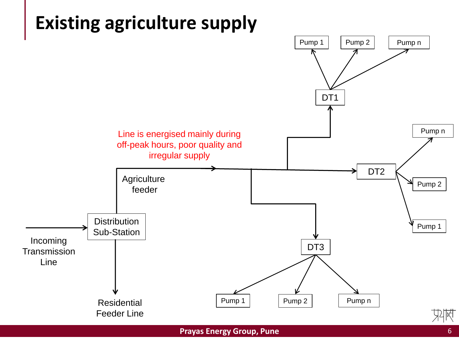

#### **Prayas Energy Group, Pune**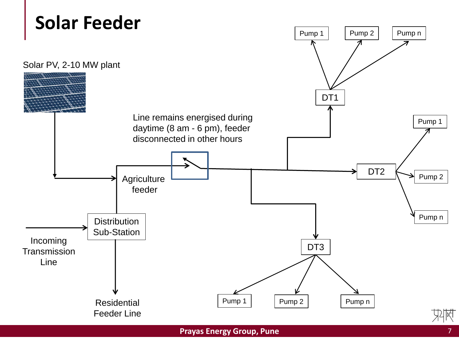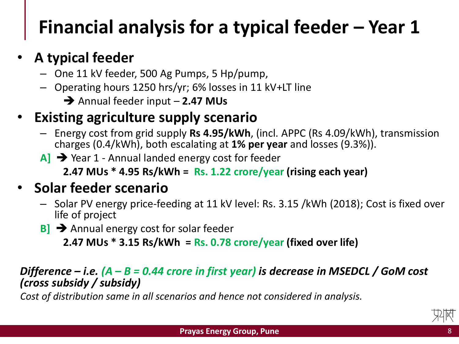### **Financial analysis for a typical feeder – Year 1**

### • **A typical feeder**

- One 11 kV feeder, 500 Ag Pumps, 5 Hp/pump,
- Operating hours 1250 hrs/yr; 6% losses in 11 kV+LT line
	- Annual feeder input **2.47 MUs**

### • **Existing agriculture supply scenario**

- Energy cost from grid supply **Rs 4.95/kWh**, (incl. APPC (Rs 4.09/kWh), transmission charges (0.4/kWh), both escalating at **1% per year** and losses (9.3%)).
- A]  $\rightarrow$  Year 1 Annual landed energy cost for feeder

**2.47 MUs \* 4.95 Rs/kWh = Rs. 1.22 crore/year (rising each year)**

### • **Solar feeder scenario**

- Solar PV energy price-feeding at 11 kV level: Rs. 3.15 /kWh (2018); Cost is fixed over life of project
- **B**<sup> $\rightarrow$ </sup> Annual energy cost for solar feeder

**2.47 MUs \* 3.15 Rs/kWh = Rs. 0.78 crore/year (fixed over life)** 

#### *Difference – i.e. (A – B = 0.44 crore in first year) is decrease in MSEDCL / GoM cost (cross subsidy / subsidy)*

*Cost of distribution same in all scenarios and hence not considered in analysis.*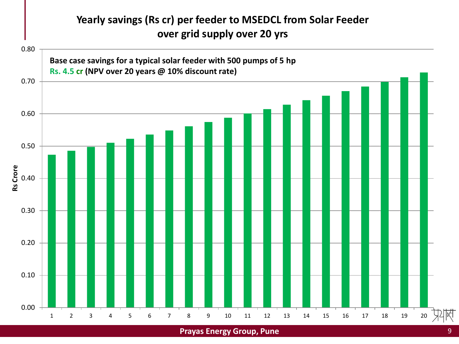#### **Yearly savings (Rs cr) per feeder to MSEDCL from Solar Feeder over grid supply over 20 yrs**



**Prayas Energy Group, Pune** 9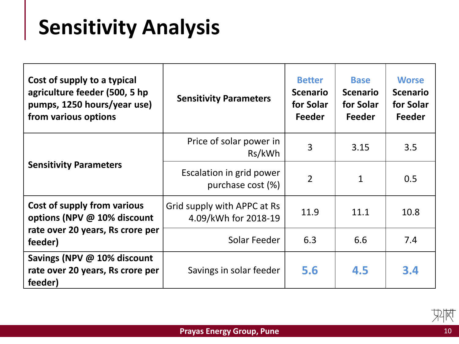# **Sensitivity Analysis**

| Cost of supply to a typical<br>agriculture feeder (500, 5 hp<br>pumps, 1250 hours/year use)<br>from various options | <b>Sensitivity Parameters</b>                       | <b>Better</b><br><b>Scenario</b><br>for Solar<br>Feeder | <b>Base</b><br><b>Scenario</b><br>for Solar<br><b>Feeder</b> | <b>Worse</b><br><b>Scenario</b><br>for Solar<br>Feeder |
|---------------------------------------------------------------------------------------------------------------------|-----------------------------------------------------|---------------------------------------------------------|--------------------------------------------------------------|--------------------------------------------------------|
| <b>Sensitivity Parameters</b>                                                                                       | Price of solar power in<br>Rs/kWh                   | 3                                                       | 3.15                                                         | 3.5                                                    |
|                                                                                                                     | Escalation in grid power<br>purchase cost (%)       | $\overline{2}$                                          | $\mathbf{1}$                                                 | 0.5                                                    |
| Cost of supply from various<br>options (NPV @ 10% discount                                                          | Grid supply with APPC at Rs<br>4.09/kWh for 2018-19 | 11.9                                                    | 11.1                                                         | 10.8                                                   |
| rate over 20 years, Rs crore per<br>feeder)                                                                         | Solar Feeder                                        | 6.3                                                     | 6.6                                                          | 7.4                                                    |
| Savings (NPV @ 10% discount<br>rate over 20 years, Rs crore per<br>feeder)                                          | Savings in solar feeder                             | 5.6                                                     | 4.5                                                          | 3.4                                                    |



邶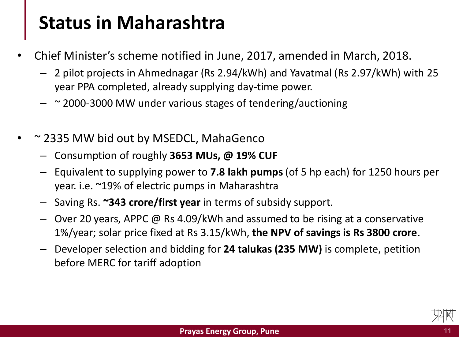### **Status in Maharashtra**

- Chief Minister's scheme notified in June, 2017, amended in March, 2018.
	- 2 pilot projects in Ahmednagar (Rs 2.94/kWh) and Yavatmal (Rs 2.97/kWh) with 25 year PPA completed, already supplying day-time power.
	- $\sim$  2000-3000 MW under various stages of tendering/auctioning
- ~ 2335 MW bid out by MSEDCL, MahaGenco
	- Consumption of roughly **3653 MUs, @ 19% CUF**
	- Equivalent to supplying power to **7.8 lakh pumps** (of 5 hp each) for 1250 hours per year. i.e. ~19% of electric pumps in Maharashtra
	- Saving Rs. **~343 crore/first year** in terms of subsidy support.
	- Over 20 years, APPC @ Rs 4.09/kWh and assumed to be rising at a conservative 1%/year; solar price fixed at Rs 3.15/kWh, **the NPV of savings is Rs 3800 crore**.
	- Developer selection and bidding for **24 talukas (235 MW)** is complete, petition before MERC for tariff adoption

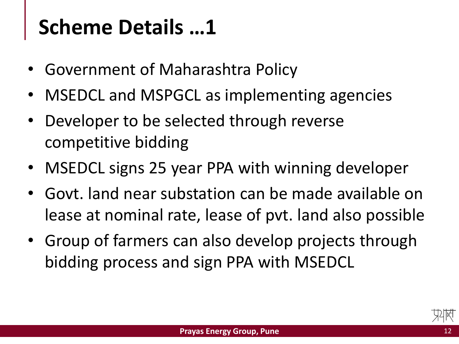### **Scheme Details …1**

- Government of Maharashtra Policy
- MSEDCL and MSPGCL as implementing agencies
- Developer to be selected through reverse competitive bidding
- MSEDCL signs 25 year PPA with winning developer
- Govt. land near substation can be made available on lease at nominal rate, lease of pvt. land also possible
- Group of farmers can also develop projects through bidding process and sign PPA with MSEDCL

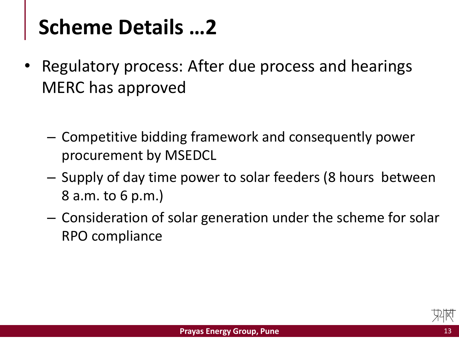### **Scheme Details …2**

- Regulatory process: After due process and hearings MERC has approved
	- Competitive bidding framework and consequently power procurement by MSEDCL
	- Supply of day time power to solar feeders (8 hours between 8 a.m. to 6 p.m.)
	- Consideration of solar generation under the scheme for solar RPO compliance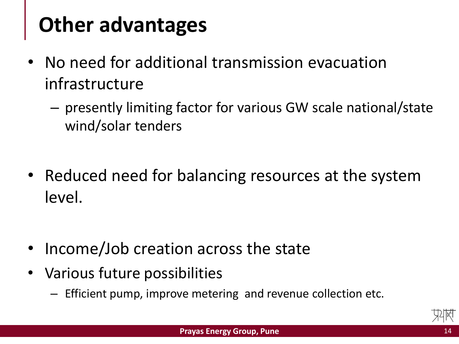## **Other advantages**

- No need for additional transmission evacuation infrastructure
	- presently limiting factor for various GW scale national/state wind/solar tenders
- Reduced need for balancing resources at the system level.
- Income/Job creation across the state
- Various future possibilities
	- Efficient pump, improve metering and revenue collection etc.

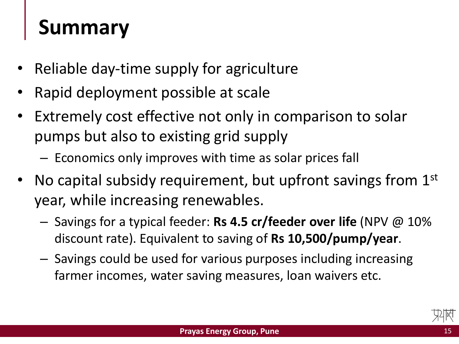### **Summary**

- Reliable day-time supply for agriculture
- Rapid deployment possible at scale
- Extremely cost effective not only in comparison to solar pumps but also to existing grid supply
	- Economics only improves with time as solar prices fall
- No capital subsidy requirement, but upfront savings from  $1<sup>st</sup>$ year, while increasing renewables.
	- Savings for a typical feeder: **Rs 4.5 cr/feeder over life** (NPV @ 10% discount rate). Equivalent to saving of **Rs 10,500/pump/year**.
	- Savings could be used for various purposes including increasing farmer incomes, water saving measures, loan waivers etc.

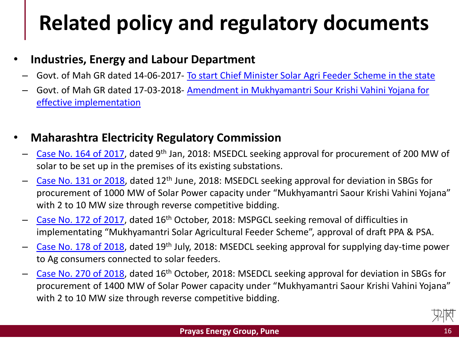# **Related policy and regulatory documents**

#### • **Industries, Energy and Labour Department**

- Govt. of Mah GR dated 14-06-2017- [To start Chief Minister Solar Agri](https://www.maharashtra.gov.in/Site/Upload/Government Resolutions/English/201706141206080310.pdf) Feeder Scheme in the state
- Govt. of Mah GR dated 17-03-2018- [Amendment in Mukhyamantri Sour Krishi Vahini Yojana for](https://www.maharashtra.gov.in/Site/Upload/Government Resolutions/English/201803171221136410.pdf) effective implementation

#### • **Maharashtra Electricity Regulatory Commission**

- [Case No. 164 of 2017](http://www.mercindia.org.in/pdf/Order 58 42/Order-164 of_2017-09012018.pdf), dated 9th Jan, 2018: MSEDCL seeking approval for procurement of 200 MW of solar to be set up in the premises of its existing substations.
- [Case No. 131 or 2018,](http://www.mercindia.org.in/pdf/Order 58 42/Order-131 of 2018-12062018.pdf) dated 12th June, 2018: MSEDCL seeking approval for deviation in SBGs for procurement of 1000 MW of Solar Power capacity under "Mukhyamantri Saour Krishi Vahini Yojana" with 2 to 10 MW size through reverse competitive bidding.
- [Case No. 172 of 2017](http://www.mercindia.org.in/pdf/Order 58 42/Order-172 of 2017-16102018.pdf), dated 16th October, 2018: MSPGCL seeking removal of difficulties in implementating "Mukhyamantri Solar Agricultural Feeder Scheme", approval of draft PPA & PSA.
- [Case No. 178 of 2018](http://www.mercindia.org.in/pdf/Order 58 42/Order-178 of 2018-19072018.pdf), dated 19th July, 2018: MSEDCL seeking approval for supplying day-time power to Ag consumers connected to solar feeders.
- [Case No. 270 of 2018](http://www.mercindia.org.in/pdf/Order 58 42/Order-270 of 2018-16102018.pdf), dated 16th October, 2018: MSEDCL seeking approval for deviation in SBGs for procurement of 1400 MW of Solar Power capacity under "Mukhyamantri Saour Krishi Vahini Yojana" with 2 to 10 MW size through reverse competitive bidding.